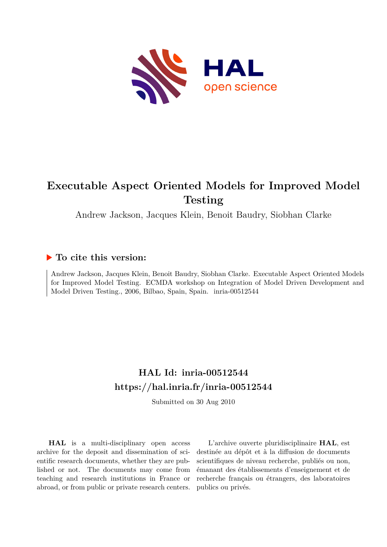

# **Executable Aspect Oriented Models for Improved Model Testing**

Andrew Jackson, Jacques Klein, Benoit Baudry, Siobhan Clarke

# **To cite this version:**

Andrew Jackson, Jacques Klein, Benoit Baudry, Siobhan Clarke. Executable Aspect Oriented Models for Improved Model Testing. ECMDA workshop on Integration of Model Driven Development and Model Driven Testing., 2006, Bilbao, Spain, Spain. inria-00512544

# **HAL Id: inria-00512544 <https://hal.inria.fr/inria-00512544>**

Submitted on 30 Aug 2010

**HAL** is a multi-disciplinary open access archive for the deposit and dissemination of scientific research documents, whether they are published or not. The documents may come from teaching and research institutions in France or abroad, or from public or private research centers.

L'archive ouverte pluridisciplinaire **HAL**, est destinée au dépôt et à la diffusion de documents scientifiques de niveau recherche, publiés ou non, émanant des établissements d'enseignement et de recherche français ou étrangers, des laboratoires publics ou privés.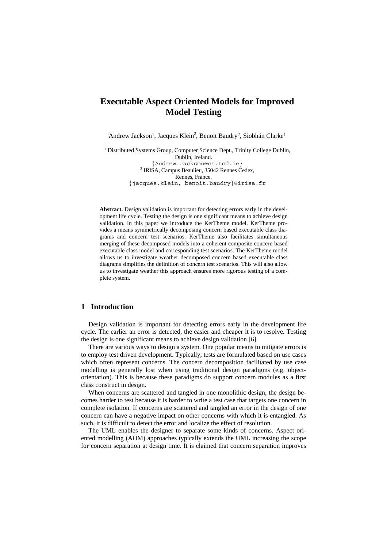# **Executable Aspect Oriented Models for Improved Model Testing**

Andrew Jackson<sup>1</sup>, Jacques Klein<sup>2</sup>, Benoit Baudry<sup>2</sup>, Siobhán Clarke<sup>1</sup>

<sup>1</sup> Distributed Systems Group, Computer Science Dept., Trinity College Dublin, Dublin, Ireland. {Andrew.Jackson@cs.tcd.ie} 2 IRISA, Campus Beaulieu, 35042 Rennes Cedex, Rennes, France. {jacques.klein, benoit.baudry}@irisa.fr

**Abstract.** Design validation is important for detecting errors early in the development life cycle. Testing the design is one significant means to achieve design validation. In this paper we introduce the KerTheme model. KerTheme provides a means symmetrically decomposing concern based executable class diagrams and concern test scenarios. KerTheme also facilitates simultaneous merging of these decomposed models into a coherent composite concern based executable class model and corresponding test scenarios. The KerTheme model allows us to investigate weather decomposed concern based executable class diagrams simplifies the definition of concern test scenarios. This will also allow us to investigate weather this approach ensures more rigorous testing of a complete system.

### **1 Introduction**

Design validation is important for detecting errors early in the development life cycle. The earlier an error is detected, the easier and cheaper it is to resolve. Testing the design is one significant means to achieve design validation [6].

There are various ways to design a system. One popular means to mitigate errors is to employ test driven development. Typically, tests are formulated based on use cases which often represent concerns. The concern decomposition facilitated by use case modelling is generally lost when using traditional design paradigms (e.g. objectorientation). This is because these paradigms do support concern modules as a first class construct in design.

When concerns are scattered and tangled in one monolithic design, the design becomes harder to test because it is harder to write a test case that targets one concern in complete isolation. If concerns are scattered and tangled an error in the design of one concern can have a negative impact on other concerns with which it is entangled. As such, it is difficult to detect the error and localize the effect of resolution.

The UML enables the designer to separate some kinds of concerns. Aspect oriented modelling (AOM) approaches typically extends the UML increasing the scope for concern separation at design time. It is claimed that concern separation improves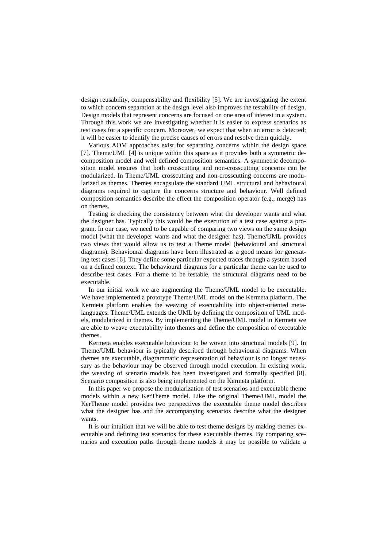design reusability, compensability and flexibility [5]. We are investigating the extent to which concern separation at the design level also improves the testability of design. Design models that represent concerns are focused on one area of interest in a system. Through this work we are investigating whether it is easier to express scenarios as test cases for a specific concern. Moreover, we expect that when an error is detected; it will be easier to identify the precise causes of errors and resolve them quickly.

Various AOM approaches exist for separating concerns within the design space [7]. Theme/UML [4] is unique within this space as it provides both a symmetric decomposition model and well defined composition semantics. A symmetric decomposition model ensures that both crosscutting and non-crosscutting concerns can be modularized. In Theme/UML crosscutting and non-crosscutting concerns are modularized as themes. Themes encapsulate the standard UML structural and behavioural diagrams required to capture the concerns structure and behaviour. Well defined composition semantics describe the effect the composition operator (e.g., merge) has on themes.

Testing is checking the consistency between what the developer wants and what the designer has. Typically this would be the execution of a test case against a program. In our case, we need to be capable of comparing two views on the same design model (what the developer wants and what the designer has). Theme/UML provides two views that would allow us to test a Theme model (behavioural and structural diagrams). Behavioural diagrams have been illustrated as a good means for generating test cases [6]. They define some particular expected traces through a system based on a defined context. The behavioural diagrams for a particular theme can be used to describe test cases. For a theme to be testable, the structural diagrams need to be executable.

In our initial work we are augmenting the Theme/UML model to be executable. We have implemented a prototype Theme/UML model on the Kermeta platform. The Kermeta platform enables the weaving of executability into object-oriented metalanguages. Theme/UML extends the UML by defining the composition of UML models, modularized in themes. By implementing the Theme/UML model in Kermeta we are able to weave executability into themes and define the composition of executable themes.

Kermeta enables executable behaviour to be woven into structural models [9]. In Theme/UML behaviour is typically described through behavioural diagrams. When themes are executable, diagrammatic representation of behaviour is no longer necessary as the behaviour may be observed through model execution. In existing work, the weaving of scenario models has been investigated and formally specified [8]. Scenario composition is also being implemented on the Kermeta platform.

In this paper we propose the modularization of test scenarios and executable theme models within a new KerTheme model. Like the original Theme/UML model the KerTheme model provides two perspectives the executable theme model describes what the designer has and the accompanying scenarios describe what the designer wants.

It is our intuition that we will be able to test theme designs by making themes executable and defining test scenarios for these executable themes. By comparing scenarios and execution paths through theme models it may be possible to validate a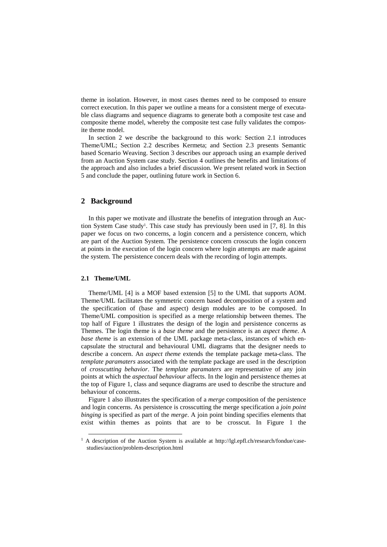theme in isolation. However, in most cases themes need to be composed to ensure correct execution. In this paper we outline a means for a consistent merge of executable class diagrams and sequence diagrams to generate both a composite test case and composite theme model, whereby the composite test case fully validates the composite theme model.

In section 2 we describe the background to this work: Section 2.1 introduces Theme/UML; Section 2.2 describes Kermeta; and Section 2.3 presents Semantic based Scenario Weaving. Section 3 describes our approach using an example derived from an Auction System case study. Section 4 outlines the benefits and limitations of the approach and also includes a brief discussion. We present related work in Section 5 and conclude the paper, outlining future work in Section 6.

#### **2 Background**

In this paper we mot[iv](#page-3-0)ate and illustrate the benefits of integration through an Auction System Case study<sup>1</sup>. This case study has previously been used in [7, 8]. In this paper we focus on two concerns, a login concern and a persistence concern, which are part of the Auction System. The persistence concern crosscuts the login concern at points in the execution of the login concern where login attempts are made against the system. The persistence concern deals with the recording of login attempts.

#### **2.1 Theme/UML**

Theme/UML [4] is a MOF based extension [5] to the UML that supports AOM. Theme/UML facilitates the symmetric concern based decomposition of a system and the specification of (base and aspect) design modules are to be composed. In Theme/UML composition is specified as a merge relationship between themes. The top half of Figure 1 illustrates the design of the login and persistence concerns as Themes. The login theme is a *base theme* and the persistence is an *aspect theme*. A *base theme* is an extension of the UML package meta-class, instances of which encapsulate the structural and behavioural UML diagrams that the designer needs to describe a concern. An *aspect theme* extends the template package meta-class. The *template paramaters* associated with the template package are used in the description of *crosscutting behavior*. The *template paramaters* are representative of any join points at which the *aspectual behaviour* affects. In the login and persistence themes at the top of Figure 1, class and sequnce diagrams are used to describe the structure and behaviour of concerns.

Figure 1 also illustrates the specification of a *merge* composition of the persistence and login concerns. As persistence is crosscutting the merge specification a *join point binging* is specified as part of the *merge*. A join point binding specifies elements that exist within themes as points that are to be crosscut. In Figure 1 the

<span id="page-3-0"></span><sup>&</sup>lt;sup>1</sup> A description of the Auction System is available at http://lgl.epfl.ch/research/fondue/casestudies/auction/problem-description.html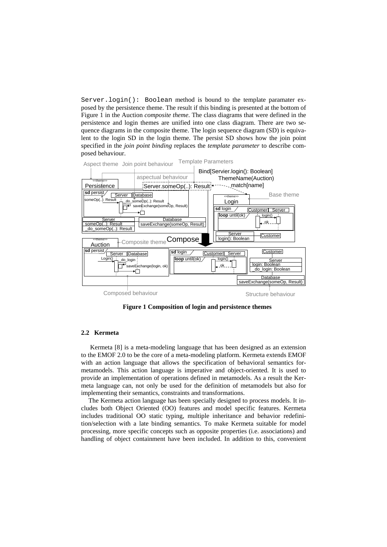Server.login(): Boolean method is bound to the template paramater exposed by the persistence theme. The result if this binding is presented at the bottom of Figure 1 in the Auction *composite theme*. The class diagrams that were defined in the persistence and login themes are unified into one class diagram. There are two sequence diagrams in the composite theme. The login sequence diagram (SD) is equivalent to the login SD in the login theme. The persist SD shows how the join point specified in the *join point binding* replaces the *template parameter* to describe composed behaviour.



**Figure 1 Composition of login and persistence themes** 

## **2.2 Kermeta**

Kermeta [8] is a meta-modeling language that has been designed as an extension to the EMOF 2.0 to be the core of a meta-modeling platform. Kermeta extends EMOF with an action language that allows the specification of behavioral semantics formetamodels. This action language is imperative and object-oriented. It is used to provide an implementation of operations defined in metamodels. As a result the Kermeta language can, not only be used for the definition of metamodels but also for implementing their semantics, constraints and transformations.

The Kermeta action language has been specially designed to process models. It includes both Object Oriented (OO) features and model specific features. Kermeta includes traditional OO static typing, multiple inheritance and behavior redefinition/selection with a late binding semantics. To make Kermeta suitable for model processing, more specific concepts such as opposite properties (i.e. associations) and handling of object containment have been included. In addition to this, convenient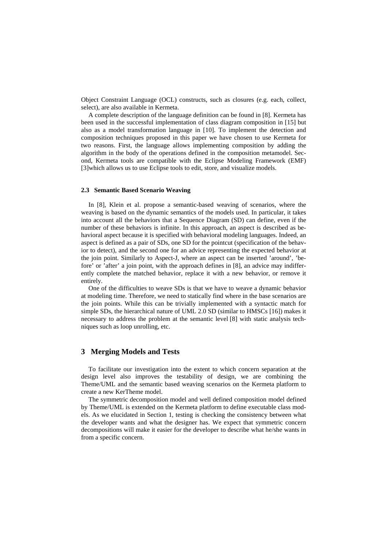Object Constraint Language (OCL) constructs, such as closures (e.g. each, collect, select), are also available in Kermeta.

A complete description of the language definition can be found in [8]. Kermeta has been used in the successful implementation of class diagram composition in [15] but also as a model transformation language in [10]. To implement the detection and composition techniques proposed in this paper we have chosen to use Kermeta for two reasons. First, the language allows implementing composition by adding the algorithm in the body of the operations defined in the composition metamodel. Second, Kermeta tools are compatible with the Eclipse Modeling Framework (EMF) [3]which allows us to use Eclipse tools to edit, store, and visualize models.

#### **2.3 Semantic Based Scenario Weaving**

In [8], Klein et al. propose a semantic-based weaving of scenarios, where the weaving is based on the dynamic semantics of the models used. In particular, it takes into account all the behaviors that a Sequence Diagram (SD) can define, even if the number of these behaviors is infinite. In this approach, an aspect is described as behavioral aspect because it is specified with behavioral modeling languages. Indeed, an aspect is defined as a pair of SDs, one SD for the pointcut (specification of the behavior to detect), and the second one for an advice representing the expected behavior at the join point. Similarly to Aspect-J, where an aspect can be inserted 'around', 'before' or 'after' a join point, with the approach defines in [8], an advice may indifferently complete the matched behavior, replace it with a new behavior, or remove it entirely.

One of the difficulties to weave SDs is that we have to weave a dynamic behavior at modeling time. Therefore, we need to statically find where in the base scenarios are the join points. While this can be trivially implemented with a syntactic match for simple SDs, the hierarchical nature of UML 2.0 SD (similar to HMSCs [16]) makes it necessary to address the problem at the semantic level [8] with static analysis techniques such as loop unrolling, etc.

## **3 Merging Models and Tests**

To facilitate our investigation into the extent to which concern separation at the design level also improves the testability of design, we are combining the Theme/UML and the semantic based weaving scenarios on the Kermeta platform to create a new KerTheme model.

The symmetric decomposition model and well defined composition model defined by Theme/UML is extended on the Kermeta platform to define executable class models. As we elucidated in Section 1, testing is checking the consistency between what the developer wants and what the designer has. We expect that symmetric concern decompositions will make it easier for the developer to describe what he/she wants in from a specific concern.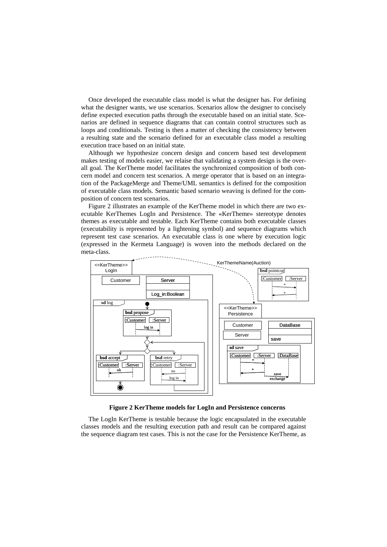Once developed the executable class model is what the designer has. For defining what the designer wants, we use scenarios. Scenarios allow the designer to concisely define expected execution paths through the executable based on an initial state. Scenarios are defined in sequence diagrams that can contain control structures such as loops and conditionals. Testing is then a matter of checking the consistency between a resulting state and the scenario defined for an executable class model a resulting execution trace based on an initial state.

Although we hypothesize concern design and concern based test development makes testing of models easier, we relaise that validating a system design is the overall goal. The KerTheme model facilitates the synchronized composition of both concern model and concern test scenarios. A merge operator that is based on an integration of the PackageMerge and Theme/UML semantics is defined for the composition of executable class models. Semantic based scenario weaving is defined for the composition of concern test scenarios.

Figure 2 illustrates an example of the KerTheme model in which there are two executable KerThemes LogIn and Persistence. The «KerTheme» stereotype denotes themes as executable and testable. Each KerTheme contains both executable classes (executability is represented by a lightening symbol) and sequence diagrams which represent test case scenarios. An executable class is one where by execution logic (expressed in the Kermeta Language) is woven into the methods declared on the meta-class.



**Figure 2 KerTheme models for LogIn and Persistence concerns** 

The LogIn KerTheme is testable because the logic encapsulated in the executable classes models and the resulting execution path and result can be compared against the sequence diagram test cases. This is not the case for the Persistence KerTheme, as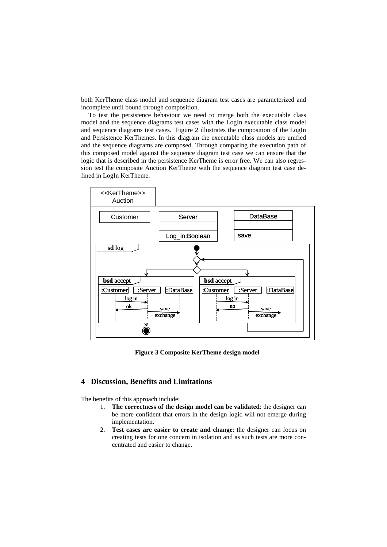both KerTheme class model and sequence diagram test cases are parameterized and incomplete until bound through composition.

To test the persistence behaviour we need to merge both the executable class model and the sequence diagrams test cases with the LogIn executable class model and sequence diagrams test cases. Figure 2 illustrates the composition of the LogIn and Persistence KerThemes. In this diagram the executable class models are unified and the sequence diagrams are composed. Through comparing the execution path of this composed model against the sequence diagram test case we can ensure that the logic that is described in the persistence KerTheme is error free. We can also regression test the composite Auction KerTheme with the sequence diagram test case defined in LogIn KerTheme.



**Figure 3 Composite KerTheme design model** 

# **4 Discussion, Benefits and Limitations**

The benefits of this approach include:

- 1. **The correctness of the design model can be validated**: the designer can be more confident that errors in the design logic will not emerge during implementation.
- 2. **Test cases are easier to create and change**: the designer can focus on creating tests for one concern in isolation and as such tests are more concentrated and easier to change.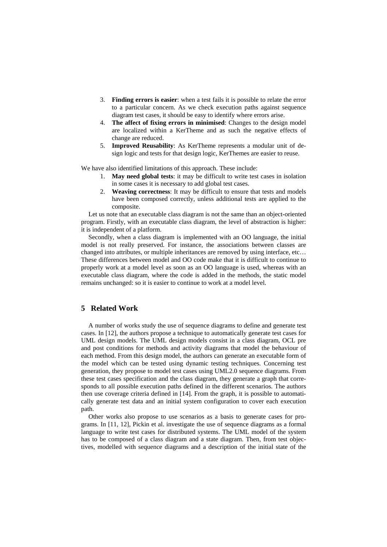- 3. **Finding errors is easier**: when a test fails it is possible to relate the error to a particular concern. As we check execution paths against sequence diagram test cases, it should be easy to identify where errors arise.
- 4. **The affect of fixing errors in minimised**: Changes to the design model are localized within a KerTheme and as such the negative effects of change are reduced.
- 5. **Improved Reusability**: As KerTheme represents a modular unit of design logic and tests for that design logic, KerThemes are easier to reuse.

We have also identified limitations of this approach. These include:

- 1. **May need global tests**: it may be difficult to write test cases in isolation in some cases it is necessary to add global test cases.
- 2. **Weaving correctness**: It may be difficult to ensure that tests and models have been composed correctly, unless additional tests are applied to the composite.

Let us note that an executable class diagram is not the same than an object-oriented program. Firstly, with an executable class diagram, the level of abstraction is higher: it is independent of a platform.

Secondly, when a class diagram is implemented with an OO language, the initial model is not really preserved. For instance, the associations between classes are changed into attributes, or multiple inheritances are removed by using interface, etc… These differences between model and OO code make that it is difficult to continue to properly work at a model level as soon as an OO language is used, whereas with an executable class diagram, where the code is added in the methods, the static model remains unchanged: so it is easier to continue to work at a model level.

#### **5 Related Work**

A number of works study the use of sequence diagrams to define and generate test cases. In [12], the authors propose a technique to automatically generate test cases for UML design models. The UML design models consist in a class diagram, OCL pre and post conditions for methods and activity diagrams that model the behaviour of each method. From this design model, the authors can generate an executable form of the model which can be tested using dynamic testing techniques. Concerning test generation, they propose to model test cases using UML2.0 sequence diagrams. From these test cases specification and the class diagram, they generate a graph that corresponds to all possible execution paths defined in the different scenarios. The authors then use coverage criteria defined in [14]. From the graph, it is possible to automatically generate test data and an initial system configuration to cover each execution path.

Other works also propose to use scenarios as a basis to generate cases for programs. In [11, 12], Pickin et al. investigate the use of sequence diagrams as a formal language to write test cases for distributed systems. The UML model of the system has to be composed of a class diagram and a state diagram. Then, from test objectives, modelled with sequence diagrams and a description of the initial state of the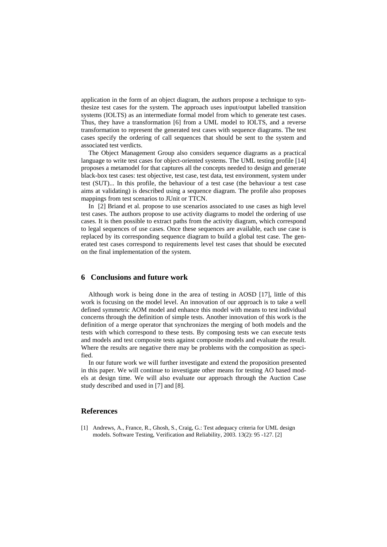application in the form of an object diagram, the authors propose a technique to synthesize test cases for the system. The approach uses input/output labelled transition systems (IOLTS) as an intermediate formal model from which to generate test cases. Thus, they have a transformation [6] from a UML model to IOLTS, and a reverse transformation to represent the generated test cases with sequence diagrams. The test cases specify the ordering of call sequences that should be sent to the system and associated test verdicts.

The Object Management Group also considers sequence diagrams as a practical language to write test cases for object-oriented systems. The UML testing profile [14] proposes a metamodel for that captures all the concepts needed to design and generate black-box test cases: test objective, test case, test data, test environment, system under test (SUT)... In this profile, the behaviour of a test case (the behaviour a test case aims at validating) is described using a sequence diagram. The profile also proposes mappings from test scenarios to JUnit or TTCN.

In [2] Briand et al. propose to use scenarios associated to use cases as high level test cases. The authors propose to use activity diagrams to model the ordering of use cases. It is then possible to extract paths from the activity diagram, which correspond to legal sequences of use cases. Once these sequences are available, each use case is replaced by its corresponding sequence diagram to build a global test case. The generated test cases correspond to requirements level test cases that should be executed on the final implementation of the system.

#### **6 Conclusions and future work**

Although work is being done in the area of testing in AOSD [17], little of this work is focusing on the model level. An innovation of our approach is to take a well defined symmetric AOM model and enhance this model with means to test individual concerns through the definition of simple tests. Another innovation of this work is the definition of a merge operator that synchronizes the merging of both models and the tests with which correspond to these tests. By composing tests we can execute tests and models and test composite tests against composite models and evaluate the result. Where the results are negative there may be problems with the composition as specified.

In our future work we will further investigate and extend the proposition presented in this paper. We will continue to investigate other means for testing AO based models at design time. We will also evaluate our approach through the Auction Case study described and used in [7] and [8].

## **References**

[1] Andrews, A., France, R., Ghosh, S., Craig, G.: Test adequacy criteria for UML design models. Software Testing, Verification and Reliability, 2003. 13(2): 95 -127. [2]